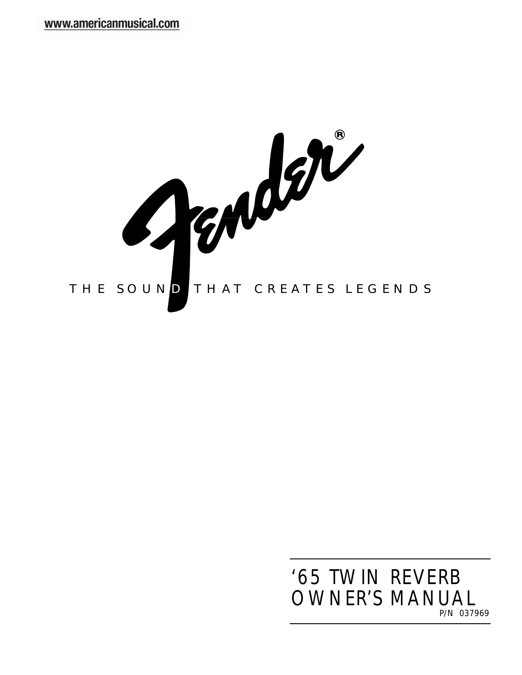

# *P/N 037969* '65 TWIN REVERB OWNER'S MANUAL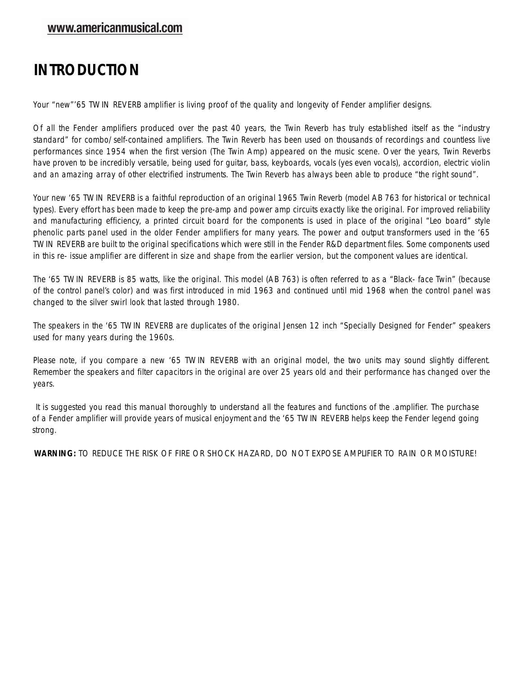## **INTRODUCTION**

Your "new"'65 TWIN REVERB amplifier is living proof of the quality and longevity of Fender amplifier designs.

Of all the Fender amplifiers produced over the past 40 years, the Twin Reverb has truly established itself as the "industry standard" for combo/self-contained amplifiers. The Twin Reverb has been used on thousands of recordings and countless live performances since 1954 when the first version (The Twin Amp) appeared on the music scene. Over the years, Twin Reverbs have proven to be incredibly versatile, being used for guitar, bass, keyboards, vocals (yes even vocals), accordion, electric violin and an amazing array of other electrified instruments. The Twin Reverb has always been able to produce "the right sound".

Your new '65 TWIN REVERB is a faithful reproduction of an original 1965 Twin Reverb (model AB 763 for historical or technical types). Every effort has been made to keep the pre-amp and power amp circuits exactly like the original. For improved reliability and manufacturing efficiency, a printed circuit board for the components is used in place of the original "Leo board" style phenolic parts panel used in the older Fender amplifiers for many years. The power and output transformers used in the '65 TWIN REVERB are built to the original specifications which were still in the Fender R&D department files. Some components used in this re- issue amplifier are different in size and shape from the earlier version, but the component values are identical.

The '65 TWIN REVERB is 85 watts, like the original. This model (AB 763) is often referred to as a "Black- face Twin" (because of the control panel's color) and was first introduced in mid 1963 and continued until mid 1968 when the control panel was changed to the silver swirl look that lasted through 1980.

The speakers in the '65 TWIN REVERB are duplicates of the original Jensen 12 inch "Specially Designed for Fender" speakers used for many years during the 1960s.

Please note, if you compare a new '65 TWIN REVERB with an original model, the two units may sound slightly different. Remember the speakers and filter capacitors in the original are over 25 years old and their performance has changed over the years.

It is suggested you read this manual thoroughly to understand all the features and functions of the .amplifier. The purchase of a Fender amplifier will provide years of musical enjoyment and the '65 TWIN REVERB helps keep the Fender legend going strong.

**WARNING:** TO REDUCE THE RISK OF FIRE OR SHOCK HAZARD, DO NOT EXPOSE AMPLIFIER TO RAIN OR MOISTURE!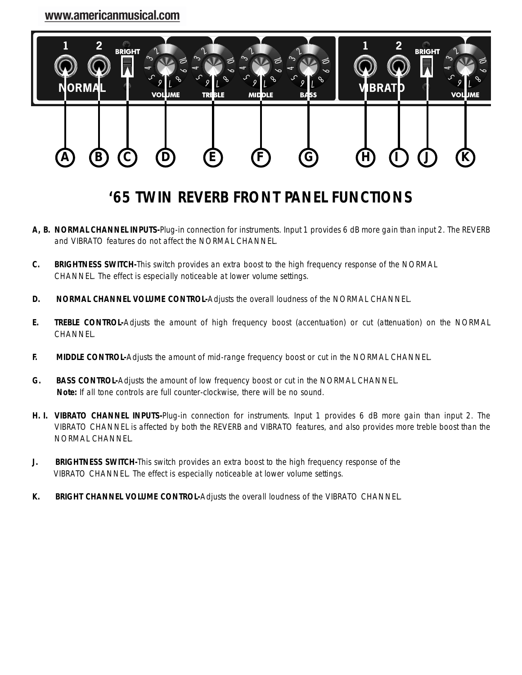

# **'65 TWIN REVERB FRONT PANEL FUNCTIONS**

- **A, B. NORMAL CHANNEL INPUTS-**Plug-in connection for instruments. Input 1 provides 6 dB more gain than input 2. The REVERB and VIBRATO features do not affect the NORMAL CHANNEL.
- **C. BRIGHTNESS SWITCH-**This switch provides an extra boost to the high frequency response of the NORMAL CHANNEL. The effect is especially noticeable at lower volume settings.
- **D. NORMAL CHANNEL VOLUME CONTROL-**Adjusts the overall loudness of the NORMAL CHANNEL.
- **E. TREBLE CONTROL-**Adjusts the amount of high frequency boost (accentuation) or cut (attenuation) on the NORMAL CHANNEL.
- **F. MIDDLE CONTROL-**Adjusts the amount of mid-range frequency boost or cut in the NORMAL CHANNEL.
- **G. BASS CONTROL-**Adjusts the amount of low frequency boost or cut in the NORMAL CHANNEL. **Note:** If all tone controls are full counter-clockwise, there will be no sound.
- **H. I. VIBRATO CHANNEL INPUTS-**Plug-in connection for instruments. Input 1 provides 6 dB more gain than input 2. The VIBRATO CHANNEL is affected by both the REVERB and VIBRATO features, and also provides more treble boost than the NORMAL CHANNEL.
- **J. BRIGHTNESS SWITCH-**This switch provides an extra boost to the high frequency response of the VIBRATO CHANNEL. The effect is especially noticeable at lower volume settings.
- **K. BRIGHT CHANNEL VOLUME CONTROL-**Adjusts the overall loudness of the VIBRATO CHANNEL.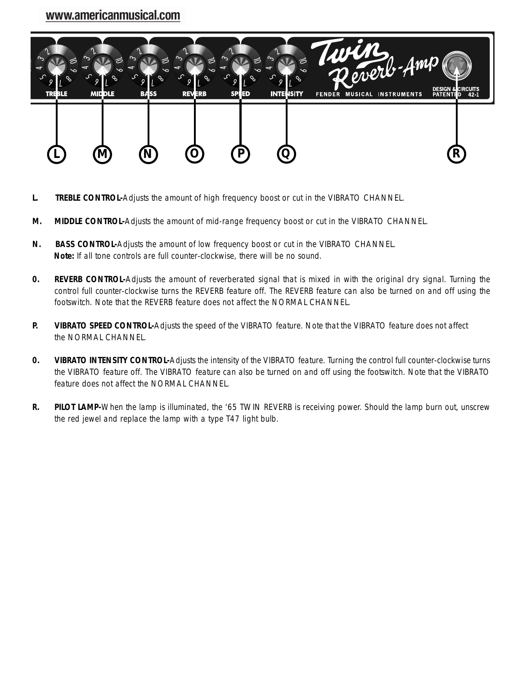

- **L. TREBLE CONTROL-**Adjusts the amount of high frequency boost or cut in the VIBRATO CHANNEL.
- **M. MIDDLE CONTROL-**Adjusts the amount of mid-range frequency boost or cut in the VIBRATO CHANNEL.
- **N. BASS CONTROL-**Adjusts the amount of low frequency boost or cut in the VIBRATO CHANNEL. **Note:** If all tone controls are full counter-clockwise, there will be no sound.
- **0. REVERB CONTROL-**Adjusts the amount of reverberated signal that is mixed in with the original dry signal. Turning the control full counter-clockwise turns the REVERB feature off. The REVERB feature can also be turned on and off using the footswitch. Note that the REVERB feature does not affect the NORMAL CHANNEL.
- **P. VIBRATO SPEED CONTROL-**Adjusts the speed of the VIBRATO feature. Note that the VIBRATO feature does not affect the NORMAL CHANNEL.
- **0. VIBRATO INTENSITY CONTROL-**Adjusts the intensity of the VIBRATO feature. Turning the control full counter-clockwise turns the VIBRATO feature off. The VIBRATO feature can also be turned on and off using the footswitch. Note that the VIBRATO feature does not affect the NORMAL CHANNEL.
- **R. PILOT LAMP-**When the lamp is illuminated, the '65 TWIN REVERB is receiving power. Should the lamp burn out, unscrew the red jewel and replace the lamp with a type T47 light bulb.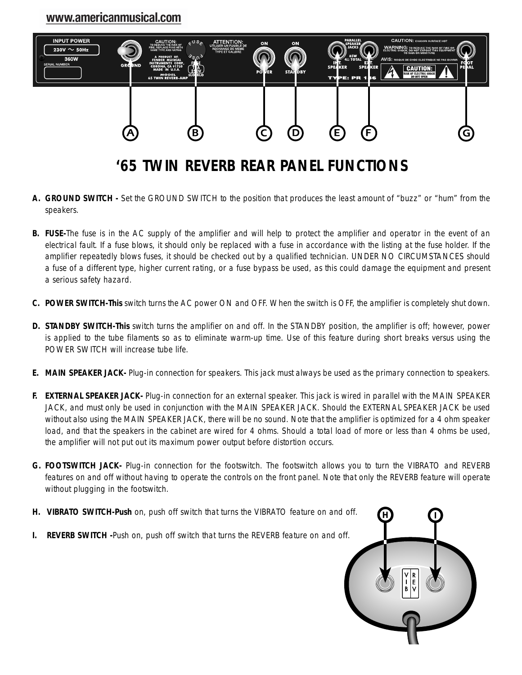

## **'65 TWIN REVERB REAR PANEL FUNCTIONS**

- **A. GROUND SWITCH -** Set the GROUND SWITCH to the position that produces the least amount of "buzz" or "hum" from the speakers.
- **B. FUSE-**The fuse is in the AC supply of the amplifier and will help to protect the amplifier and operator in the event of an electrical fault. If a fuse blows, it should only be replaced with a fuse in accordance with the listing at the fuse holder. If the amplifier repeatedly blows fuses, it should be checked out by a qualified technician. UNDER NO CIRCUMSTANCES should a fuse of a different type, higher current rating, or a fuse bypass be used, as this could damage the equipment and present a serious safety hazard.
- **C. POWER SWITCH-This** switch turns the AC power ON and OFF. When the switch is OFF, the amplifier is completely shut down.
- **D. STANDBY SWITCH-This** switch turns the amplifier on and off. In the STANDBY position, the amplifier is off; however, power is applied to the tube filaments so as to eliminate warm-up time. Use of this feature during short breaks versus using the POWER SWITCH will increase tube life.
- **E. MAIN SPEAKER JACK-** Plug-in connection for speakers. This jack must always be used as the primary connection to speakers.
- **F. EXTERNAL SPEAKER JACK-** Plug-in connection for an external speaker. This jack is wired in parallel with the MAIN SPEAKER JACK, and must only be used in conjunction with the MAIN SPEAKER JACK. Should the EXTERNAL SPEAKER JACK be used without also using the MAIN SPEAKER JACK, there will be no sound. Note that the amplifier is optimized for a 4 ohm speaker load, and that the speakers in the cabinet are wired for 4 ohms. Should a total load of more or less than 4 ohms be used, the amplifier will not put out its maximum power output before distortion occurs.
- **G. FOOTSWITCH JACK-** Plug-in connection for the footswitch. The footswitch allows you to turn the VIBRATO and REVERB features on and off without having to operate the controls on the front panel. Note that only the REVERB feature will operate without plugging in the footswitch.
- **H. VIBRATO SWITCH-Push** on, push off switch that turns the VIBRATO feature on and off.
- **I. REVERB SWITCH -**Push on, push off switch that turns the REVERB feature on and off.

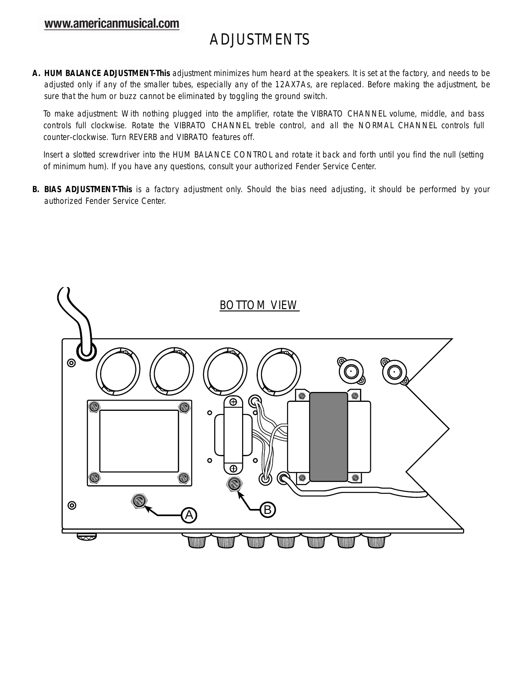## ADJUSTMENTS

**A. HUM BALANCE ADJUSTMENT-This** adjustment minimizes hum heard at the speakers. It is set at the factory, and needs to be adjusted only if any of the smaller tubes, especially any of the 12AX7As, are replaced. Before making the adjustment, be sure that the hum or buzz cannot be eliminated by toggling the ground switch.

To make adjustment: With nothing plugged into the amplifier, rotate the VIBRATO CHANNEL volume, middle, and bass controls full clockwise. Rotate the VIBRATO CHANNEL treble control, and all the NORMAL CHANNEL controls full counter-clockwise. Turn REVERB and VIBRATO features off.

Insert a slotted screwdriver into the HUM BALANCE CONTROL and rotate it back and forth until you find the null (setting of minimum hum). If you have any questions, consult your authorized Fender Service Center.

**B. BIAS ADJUSTMENT-This** is a factory adjustment only. Should the bias need adjusting, it should be performed by your authorized Fender Service Center.